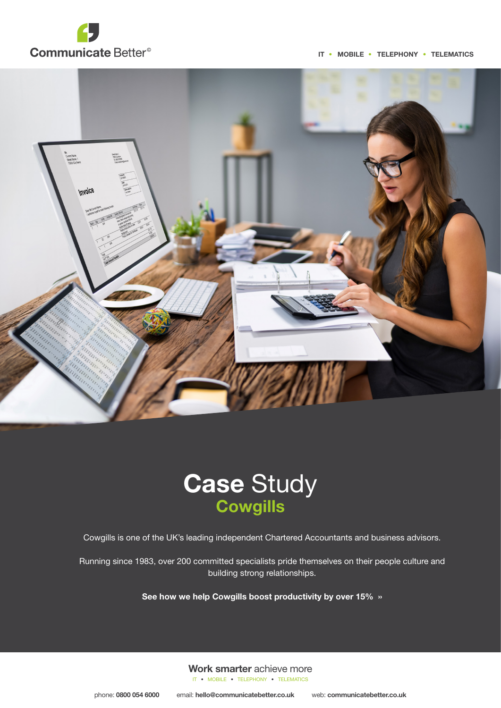

IT • MOBILE • TELEPHONY • TELEMATICS





Cowgills is one of the UK's leading independent Chartered Accountants and business advisors.

Running since 1983, over 200 committed specialists pride themselves on their people culture and building strong relationships.

See how we help Cowgills boost productivity by over 15% ››

Work smarter achieve more IT • MOBILE • TELEPHONY • TELEMATICS